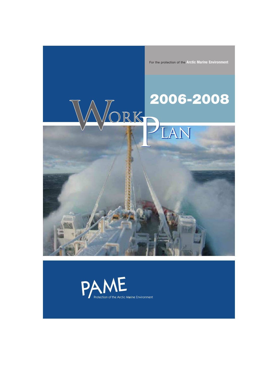For the protection of the **Arctic Marine Environment**

# WORKPLAN

## **2006-2008**

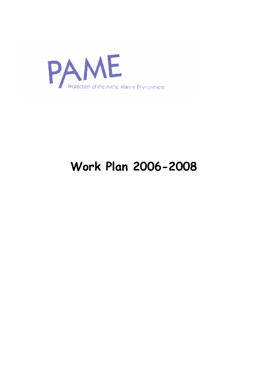

### **Work Plan 2006-2008**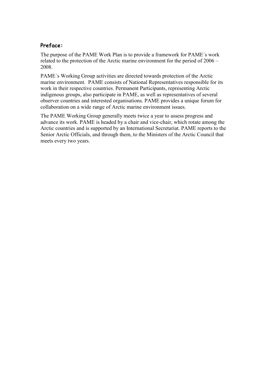#### **Preface:**

The purpose of the PAME Work Plan is to provide a framework for PAME´s work related to the protection of the Arctic marine environment for the period of 2006 – 2008.

PAME´s Working Group activities are directed towards protection of the Arctic marine environment. PAME consists of National Representatives responsible for its work in their respective countries. Permanent Participants, representing Arctic indigenous groups, also participate in PAME, as well as representatives of several observer countries and interested organisations. PAME provides a unique forum for collaboration on a wide range of Arctic marine environment issues.

The PAME Working Group generally meets twice a year to assess progress and advance its work. PAME is headed by a chair and vice-chair, which rotate among the Arctic countries and is supported by an International Secretariat. PAME reports to the Senior Arctic Officials, and through them, to the Ministers of the Arctic Council that meets every two years.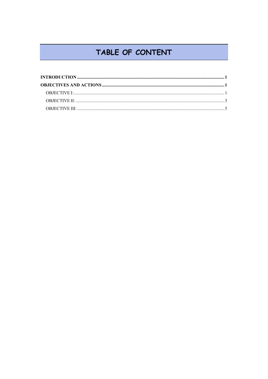#### TABLE OF CONTENT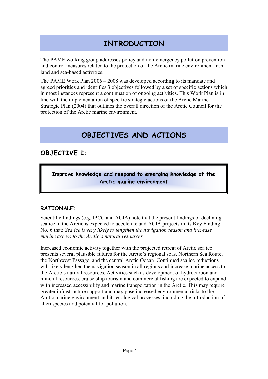#### **INTRODUCTION**

The PAME working group addresses policy and non-emergency pollution prevention and control measures related to the protection of the Arctic marine environment from land and sea-based activities.

The PAME Work Plan 2006 – 2008 was developed according to its mandate and agreed priorities and identifies 3 objectives followed by a set of specific actions which in most instances represent a continuation of ongoing activities. This Work Plan is in line with the implementation of specific strategic actions of the Arctic Marine Strategic Plan (2004) that outlines the overall direction of the Arctic Council for the protection of the Arctic marine environment.

#### **OBJECTIVES AND ACTIONS**

#### **OBJECTIVE I:**

**Improve knowledge and respond to emerging knowledge of the Arctic marine environment** 

#### **RATIONALE:**

Scientific findings (e.g. IPCC and ACIA) note that the present findings of declining sea ice in the Arctic is expected to accelerate and ACIA projects in its Key Finding No. 6 that: *Sea ice is very likely to lengthen the navigation season and increase marine access to the Arctic´s natural resources.*

Increased economic activity together with the projected retreat of Arctic sea ice presents several plausible futures for the Arctic's regional seas, Northern Sea Route, the Northwest Passage, and the central Arctic Ocean. Continued sea ice reductions will likely lengthen the navigation season in all regions and increase marine access to the Arctic's natural resources. Activities such as development of hydrocarbon and mineral resources, cruise ship tourism and commercial fishing are expected to expand with increased accessibility and marine transportation in the Arctic. This may require greater infrastructure support and may pose increased environmental risks to the Arctic marine environment and its ecological processes, including the introduction of alien species and potential for pollution.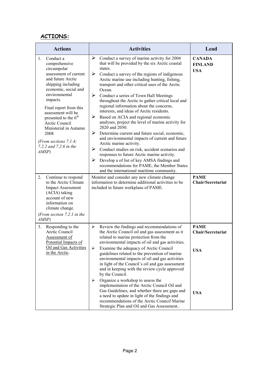#### **ACTIONS:**

| <b>Actions</b>                                                                                                                                                                                                                                                                                                                                                                 | <b>Activities</b>                                                                                                                                                                                                                                                                                                                                                                                                                                                                                                                                                                                                                                                                                                                                                                                                                                                                                                                                                                                | Lead                                                         |
|--------------------------------------------------------------------------------------------------------------------------------------------------------------------------------------------------------------------------------------------------------------------------------------------------------------------------------------------------------------------------------|--------------------------------------------------------------------------------------------------------------------------------------------------------------------------------------------------------------------------------------------------------------------------------------------------------------------------------------------------------------------------------------------------------------------------------------------------------------------------------------------------------------------------------------------------------------------------------------------------------------------------------------------------------------------------------------------------------------------------------------------------------------------------------------------------------------------------------------------------------------------------------------------------------------------------------------------------------------------------------------------------|--------------------------------------------------------------|
| Conduct a<br>1.<br>comprehensive<br>circumpolar<br>assessment of current<br>and future Arctic<br>shipping including<br>economic, social and<br>environmental<br>impacts.<br>Final report from this<br>assessment will be<br>presented to the 6 <sup>th</sup><br>Arctic Council<br>Ministerial in Autumn<br>2008<br>(From sections $7.1.4$ ;<br>7.2.2 and 7.2.6 in the<br>AMSP) | ➤<br>Conduct a survey of marine activity for 2004<br>that will be provided by the six Arctic coastal<br>states.<br>➤<br>Conduct a survey of the regions of indigenous<br>Arctic marine use including hunting, fishing,<br>transport and other critical uses of the Arctic<br>Ocean.<br>➤<br>Conduct a series of Town Hall Meetings<br>throughout the Arctic to gather critical local and<br>regional information about the concerns,<br>interests, and ideas of Arctic residents.<br>➤<br>Based on ACIA and regional economic<br>analyses, project the level of marine activity for<br>2020 and 2050.<br>➤<br>Determine current and future social, economic,<br>and environmental impacts of current and future<br>Arctic marine activity.<br>➤<br>Conduct studies on risk, accident scenarios and<br>responses to future Arctic marine activity.<br>➤<br>Develop a of list of key AMSA findings and<br>recommendations for PAME, the Member States<br>and the international maritime community. | <b>CANADA</b><br><b>FINLAND</b><br><b>USA</b>                |
| Continue to respond<br>2.<br>to the Arctic Climate<br><b>Impact Assessment</b><br>(ACIA) taking<br>account of new<br>information on<br>climate change.<br>(From section $7.2.1$ in the<br>AMSP)                                                                                                                                                                                | Monitor and consider any new climate change<br>information to determine additional activities to be<br>included in future workplans of PAME.                                                                                                                                                                                                                                                                                                                                                                                                                                                                                                                                                                                                                                                                                                                                                                                                                                                     | <b>PAME</b><br>Chair/Secretariat                             |
| Responding to the<br>3.<br>Arctic Council<br>Assessment of<br>Potential Impacts of<br>Oil and Gas Activities<br>in the Arctic.                                                                                                                                                                                                                                                 | ≻<br>Review the findings and recommendations of<br>the Arctic Council oil and gas assessment as it<br>related to marine protection from the<br>environmental impacts of oil and gas activities.<br>⋗<br>Examine the adequacy of Arctic Council<br>guidelines related to the prevention of marine<br>environmental impacts of oil and gas activities<br>in light of the Council's oil and gas assessment<br>and in keeping with the review cycle approved<br>by the Council.<br>Organize a workshop to assess the<br>➤<br>implementation of the Arctic Council Oil and<br>Gas Guidelines, and whether there are gaps and                                                                                                                                                                                                                                                                                                                                                                          | <b>PAME</b><br>Chair/Secretariat<br><b>USA</b><br><b>USA</b> |
|                                                                                                                                                                                                                                                                                                                                                                                | a need to update in light of the findings and<br>recommendations of the Arctic Council Marine<br>Strategic Plan and Oil and Gas Assessment                                                                                                                                                                                                                                                                                                                                                                                                                                                                                                                                                                                                                                                                                                                                                                                                                                                       |                                                              |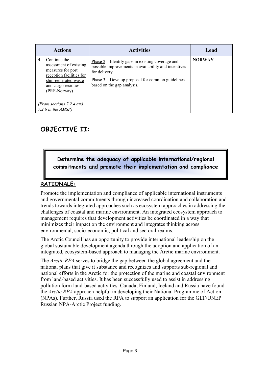|                  | <b>Actions</b>                                                                                                                                                                                             | <b>Activities</b>                                                                                                                                                                                                                 | Lead          |
|------------------|------------------------------------------------------------------------------------------------------------------------------------------------------------------------------------------------------------|-----------------------------------------------------------------------------------------------------------------------------------------------------------------------------------------------------------------------------------|---------------|
| $\overline{4}$ . | Continue the<br>assessment of existing<br>measures for port<br>reception facilities for<br>ship-generated waste<br>and cargo residues<br>(PRF-Norway)<br>(From sections 7.2.4 and<br>7.2.6 in the $AMSP$ ) | Phase $2$ – Identify gaps in existing coverage and<br>possible improvements in availability and incentives<br>for delivery.<br><u>Phase <math>3</math></u> – Develop proposal for common guidelines<br>based on the gap analysis. | <b>NORWAY</b> |

#### **OBJECTIVE II:**

**Determine the adequacy of applicable international/regional commitments and promote their implementation and compliance** 

#### **RATIONALE:**

Promote the implementation and compliance of applicable international instruments and governmental commitments through increased coordination and collaboration and trends towards integrated approaches such as ecosystem approaches in addressing the challenges of coastal and marine environment. An integrated ecosystem approach to management requires that development activities be coordinated in a way that minimizes their impact on the environment and integrates thinking across environmental, socio-economic, political and sectoral realms.

The Arctic Council has an opportunity to provide international leadership on the global sustainable development agenda through the adoption and application of an integrated, ecosystem-based approach to managing the Arctic marine environment.

The *Arctic RPA* serves to bridge the gap between the global agreement and the national plans that give it substance and recognizes and supports sub-regional and national efforts in the Arctic for the protection of the marine and coastal environment from land-based activities. It has been successfully used to assist in addressing pollution form land-based activities. Canada, Finland, Iceland and Russia have found the *Arctic RPA* approach helpful in developing their National Programme of Action (NPAs). Further, Russia used the RPA to support an application for the GEF/UNEP Russian NPA-Arctic Project funding.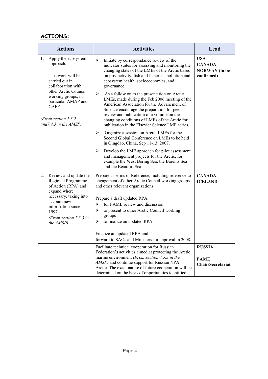#### **ACTIONS:**

| <b>Actions</b>                                                                                                                                                                                                                           | <b>Activities</b>                                                                                                                                                                                                                                                                                                                                                                                                                                                                                                                                                                                                                                                                                                                           | Lead                                                              |
|------------------------------------------------------------------------------------------------------------------------------------------------------------------------------------------------------------------------------------------|---------------------------------------------------------------------------------------------------------------------------------------------------------------------------------------------------------------------------------------------------------------------------------------------------------------------------------------------------------------------------------------------------------------------------------------------------------------------------------------------------------------------------------------------------------------------------------------------------------------------------------------------------------------------------------------------------------------------------------------------|-------------------------------------------------------------------|
| 1.<br>Apply the ecosystem<br>approach.<br>This work will be<br>carried out in<br>collaboration with<br>other Arctic Council<br>working groups, in<br>particular AMAP and<br>CAFF.<br>(From section 7.3.2)<br>and $7.4.3$ in the $AMSP$ ) | ➤<br>Initiate by correspondance review of the<br>indicator suites for assessing and monitoring the<br>changing states of the LMEs of the Arctic based<br>on productivity, fish and fisheries, pollution and<br>ecosystem health, socioeconomics, and<br>governance.<br>$\blacktriangleright$<br>As a follow on to the presentation on Arctic<br>LMEs, made during the Feb 2006 meeting of the<br>American Association for the Advancment of<br>Science encourage the preparation for peer<br>review and publication of a volume on the<br>changing conditions of LMEs of the Arctic for<br>publication in the Elsevier Science LME series.<br>➤<br>Organize a session on Arctic LMEs for the<br>Second Global Conference on LMEs to be held | <b>USA</b><br><b>CANADA</b><br><b>NORWAY</b> (to be<br>confirmed) |
|                                                                                                                                                                                                                                          | in Qingdao, China, Sep 11-13, 2007.<br>➤<br>Develop the LME approach for pilot assessment<br>and management projects for the Arctic, for<br>example the West Bering Sea, the Barents Sea<br>and the Beaufort Sea.                                                                                                                                                                                                                                                                                                                                                                                                                                                                                                                           |                                                                   |
| Review and update the<br>2.<br>Regional Programme<br>of Action (RPA) and<br>expand where<br>necessary, taking into<br>account new<br>information since<br>1997.<br>(From section $7.3.3$ in<br>the AMSP)                                 | Prepare a Terms of Reference, including reference to<br>engagement of other Arctic Council working groups<br>and other relevant organizations<br>Prepare a draft updated RPA:<br>for PAME review and discussion<br>➤<br>$\blacktriangleright$<br>to present to other Arctic Council working<br>groups<br>$\blacktriangleright$<br>to finalize an updated RPA<br>Finalize an updated RPA and<br>forward to SAOs and Ministers for approval in 2008.                                                                                                                                                                                                                                                                                          | <b>CANADA</b><br><b>ICELAND</b>                                   |
|                                                                                                                                                                                                                                          | Facilitate technical cooperation for Russian<br>Federation's activities aimed at protecting the Arctic<br>marine environment (From section 7.5.3 in the<br>AMSP) and continue support for Russian NPA<br>Arctic. The exact nature of future cooperation will be<br>determined on the basis of opportunities identified.                                                                                                                                                                                                                                                                                                                                                                                                                     | <b>RUSSIA</b><br><b>PAME</b><br>Chair/Secretariat                 |